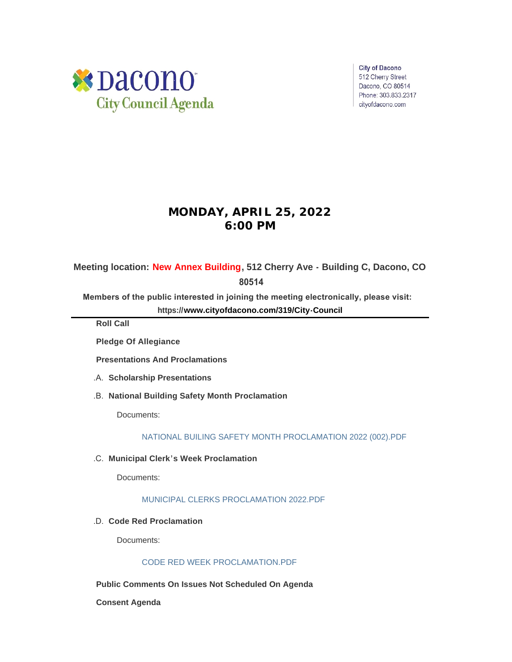

**City of Dacono** 512 Cherry Street Dacono, CO 80514 Phone: 303.833.2317 cityofdacono.com

# **MONDAY, APRIL 25, 2022 6:00 PM**

**Meeting location: New Annex Building, 512 Cherry Ave - Building C, Dacono, CO** 

 **80514**

**Members of the public interested in joining the meeting electronically, please visit: https://[www.cityofdacono.com/319/City-Council](http://www.cityofdacono.com/319/City-Council)**

**Roll Call**

**Pledge Of Allegiance** 

**Presentations And Proclamations**

- **Scholarship Presentations** .A.
- **National Building Safety Month Proclamation**  .B.

Documents:

[NATIONAL BUILING SAFETY MONTH PROCLAMATION 2022 \(002\).PDF](https://www.cityofdacono.com/AgendaCenter/ViewFile/Item/2056?fileID=2866)

**Municipal Clerk's Week Proclamation** .C.

Documents:

## [MUNICIPAL CLERKS PROCLAMATION 2022.PDF](https://www.cityofdacono.com/AgendaCenter/ViewFile/Item/2057?fileID=2867)

**Code Red Proclamation** .D.

Documents:

# [CODE RED WEEK PROCLAMATION.PDF](https://www.cityofdacono.com/AgendaCenter/ViewFile/Item/2058?fileID=2868)

**Public Comments On Issues Not Scheduled On Agenda**

**Consent Agenda**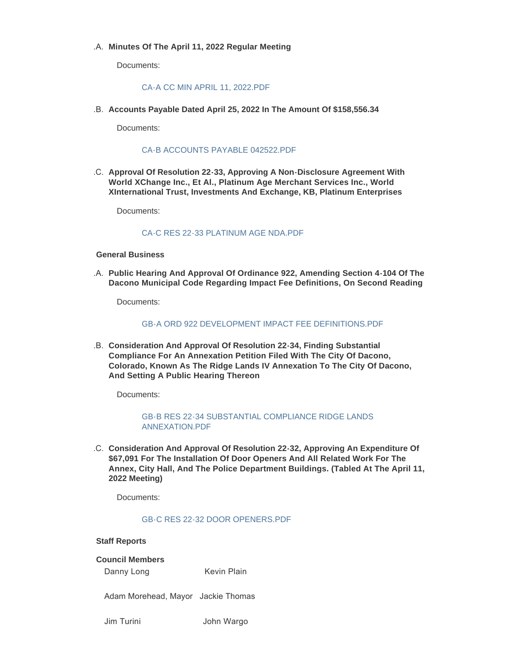# **Minutes Of The April 11, 2022 Regular Meeting** .A.

Documents:

### [CA-A CC MIN APRIL 11, 2022.PDF](https://www.cityofdacono.com/AgendaCenter/ViewFile/Item/2059?fileID=2869)

**Accounts Payable Dated April 25, 2022 In The Amount Of \$158,556.34** .B.

Documents:

## [CA-B ACCOUNTS PAYABLE 042522.PDF](https://www.cityofdacono.com/AgendaCenter/ViewFile/Item/2060?fileID=2870)

**Approval Of Resolution 22-33, Approving A Non-Disclosure Agreement With**  .C. **World XChange Inc., Et Al., Platinum Age Merchant Services Inc., World XInternational Trust, Investments And Exchange, KB, Platinum Enterprises**

Documents:

### [CA-C RES 22-33 PLATINUM AGE NDA.PDF](https://www.cityofdacono.com/AgendaCenter/ViewFile/Item/2061?fileID=2871)

# **General Business**

**Public Hearing And Approval Of Ordinance 922, Amending Section 4-104 Of The**  .A. **Dacono Municipal Code Regarding Impact Fee Definitions, On Second Reading**

Documents:

### [GB-A ORD 922 DEVELOPMENT IMPACT FEE DEFINITIONS.PDF](https://www.cityofdacono.com/AgendaCenter/ViewFile/Item/2062?fileID=2872)

**Consideration And Approval Of Resolution 22-34, Finding Substantial**  .B. **Compliance For An Annexation Petition Filed With The City Of Dacono, Colorado, Known As The Ridge Lands IV Annexation To The City Of Dacono, And Setting A Public Hearing Thereon**

Documents:

[GB-B RES 22-34 SUBSTANTIAL COMPLIANCE RIDGE LANDS](https://www.cityofdacono.com/AgendaCenter/ViewFile/Item/2063?fileID=2873)  ANNEXATION.PDF

**Consideration And Approval Of Resolution 22-32, Approving An Expenditure Of**  .C. **\$67,091 For The Installation Of Door Openers And All Related Work For The Annex, City Hall, And The Police Department Buildings. (Tabled At The April 11, 2022 Meeting)**

Documents:

#### [GB-C RES 22-32 DOOR OPENERS.PDF](https://www.cityofdacono.com/AgendaCenter/ViewFile/Item/2064?fileID=2874)

#### **Staff Reports**

#### **Council Members**

Danny Long Kevin Plain

Adam Morehead, Mayor Jackie Thomas

Jim Turini John Wargo